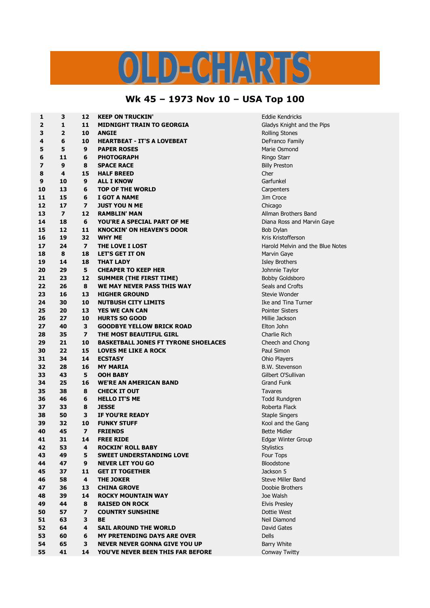## LD-CHARTS

## **Wk 45 – 1973 Nov 10 – USA Top 100**

| 1                       | 3              | 12                       | <b>KEEP ON TRUCKIN'</b>                     | <b>Eddie Kendricks</b>                      |
|-------------------------|----------------|--------------------------|---------------------------------------------|---------------------------------------------|
| $\overline{\mathbf{2}}$ | $\mathbf{1}$   | 11                       | <b>MIDNIGHT TRAIN TO GEORGIA</b>            | Gladys Knight and the Pips                  |
| 3                       | $\overline{2}$ | 10                       | <b>ANGIE</b>                                | <b>Rolling Stones</b>                       |
| 4                       | 6              | 10                       | <b>HEARTBEAT - IT'S A LOVEBEAT</b>          | DeFranco Family                             |
| 5                       | 5              | $\boldsymbol{9}$         | <b>PAPER ROSES</b>                          | Marie Osmond                                |
| 6                       | 11             | 6                        | <b>PHOTOGRAPH</b>                           | Ringo Starr                                 |
| 7                       | 9              | 8                        | <b>SPACE RACE</b>                           | <b>Billy Preston</b>                        |
| 8                       | 4              | 15                       | <b>HALF BREED</b>                           | Cher                                        |
| 9                       | 10             | 9                        | <b>ALL I KNOW</b>                           | Garfunkel                                   |
| 10                      | 13             | 6                        | <b>TOP OF THE WORLD</b>                     | Carpenters                                  |
| 11                      | 15             | 6                        | I GOT A NAME                                | Jim Croce                                   |
| 12                      | 17             | $\overline{\phantom{a}}$ | <b>JUST YOU N ME</b>                        | Chicago                                     |
| 13                      | $\overline{ }$ | 12                       | <b>RAMBLIN' MAN</b>                         | Allman Brothers Band                        |
| 14                      | 18             | 6                        | YOU'RE A SPECIAL PART OF ME                 | Diana Ross and Marvin Gaye                  |
| 15                      | 12             | 11                       | <b>KNOCKIN' ON HEAVEN'S DOOR</b>            | Bob Dylan                                   |
| 16                      | 19             | 32                       | <b>WHY ME</b>                               | Kris Kristofferson                          |
| 17                      | 24             | $\overline{ }$           | THE LOVE I LOST                             | Harold Melvin and the Blue Notes            |
| 18                      | 8              | 18                       | <b>LET'S GET IT ON</b>                      | Marvin Gaye                                 |
| 19                      | 14             | 18                       | <b>THAT LADY</b>                            | <b>Isley Brothers</b>                       |
| 20                      | 29             | 5                        | <b>CHEAPER TO KEEP HER</b>                  | Johnnie Taylor                              |
| 21                      | 23             | 12                       | <b>SUMMER (THE FIRST TIME)</b>              | <b>Bobby Goldsboro</b>                      |
| 22                      | 26             | 8                        | WE MAY NEVER PASS THIS WAY                  | Seals and Crofts                            |
| 23                      | 16             | 13                       | <b>HIGHER GROUND</b>                        | Stevie Wonder                               |
| 24                      | 30             | 10                       | <b>NUTBUSH CITY LIMITS</b>                  | Ike and Tina Turner                         |
| 25                      | 20             | 13                       | <b>YES WE CAN CAN</b>                       | <b>Pointer Sisters</b>                      |
| 26                      | 27             | 10                       | <b>HURTS SO GOOD</b>                        | Millie Jackson                              |
| 27                      | 40             | 3                        | <b>GOODBYE YELLOW BRICK ROAD</b>            | Elton John                                  |
| 28                      | 35             | $\overline{ }$           | THE MOST BEAUTIFUL GIRL                     | Charlie Rich                                |
| 29                      | 21             | 10                       | <b>BASKETBALL JONES FT TYRONE SHOELACES</b> |                                             |
| 30                      | 22             | 15                       | <b>LOVES ME LIKE A ROCK</b>                 | Cheech and Chong<br>Paul Simon              |
| 31                      | 34             | 14                       | <b>ECSTASY</b>                              | Ohio Players                                |
| 32                      | 28             | 16                       |                                             |                                             |
| 33                      | 43             | 5                        | <b>MY MARIA</b>                             | <b>B.W. Stevenson</b><br>Gilbert O'Sullivan |
| 34                      | 25             | 16                       | <b>OOH BABY</b>                             | <b>Grand Funk</b>                           |
|                         | 38             | 8                        | <b>WE'RE AN AMERICAN BAND</b>               |                                             |
| 35<br>36                | 46             | 6                        | <b>CHECK IT OUT</b><br><b>HELLO IT'S ME</b> | Tavares                                     |
|                         |                |                          |                                             | <b>Todd Rundgren</b><br>Roberta Flack       |
| 37                      | 33             | 8                        | <b>JESSE</b>                                |                                             |
| 38                      | 50             | 3                        | IF YOU'RE READY                             | <b>Staple Singers</b>                       |
| 39                      | 32             | 10                       | <b>FUNKY STUFF</b>                          | Kool and the Gang                           |
| 40                      | 45             | $\overline{ }$           | <b>FRIENDS</b>                              | <b>Bette Midler</b>                         |
| 41                      | 31             | 14                       | <b>FREE RIDE</b>                            | Edgar Winter Group                          |
| 42                      | 53             | 4                        | <b>ROCKIN' ROLL BABY</b>                    | <b>Stylistics</b>                           |
| 43                      | 49             | 5                        | <b>SWEET UNDERSTANDING LOVE</b>             | Four Tops                                   |
| 44                      | 47             | 9                        | <b>NEVER LET YOU GO</b>                     | Bloodstone                                  |
| 45                      | 37             | 11                       | <b>GET IT TOGETHER</b>                      | Jackson 5                                   |
| 46                      | 58             | 4                        | <b>THE JOKER</b>                            | Steve Miller Band                           |
| 47                      | 36             | 13                       | <b>CHINA GROVE</b>                          | Doobie Brothers                             |
| 48                      | 39             | 14                       | <b>ROCKY MOUNTAIN WAY</b>                   | Joe Walsh                                   |
| 49                      | 44             | 8                        | <b>RAISED ON ROCK</b>                       | <b>Elvis Presley</b>                        |
| 50                      | 57             | $\overline{\mathbf{z}}$  | <b>COUNTRY SUNSHINE</b>                     | Dottie West                                 |
| 51                      | 63             | 3                        | <b>BE</b>                                   | Neil Diamond                                |
| 52                      | 64             | 4                        | <b>SAIL AROUND THE WORLD</b>                | David Gates                                 |
| 53                      | 60             | 6                        | <b>MY PRETENDING DAYS ARE OVER</b>          | <b>Dells</b>                                |
| 54                      | 65             | 3                        | <b>NEVER NEVER GONNA GIVE YOU UP</b>        | <b>Barry White</b>                          |
| 55                      | 41             | 14                       | YOU'VE NEVER BEEN THIS FAR BEFORE           | <b>Conway Twitty</b>                        |